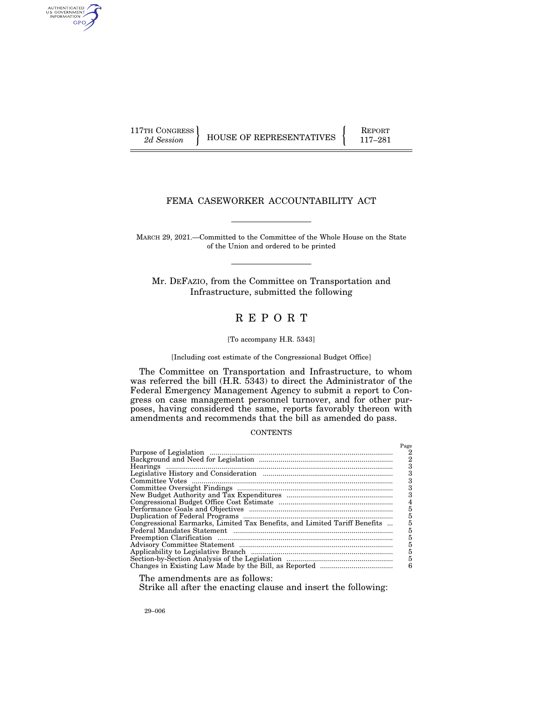AUTHENTICATED<br>U.S. GOVERNMENT<br>INFORMATION GPO

117TH CONGRESS HOUSE OF REPRESENTATIVES FEPORT 117-281

# FEMA CASEWORKER ACCOUNTABILITY ACT

MARCH 29, 2021.—Committed to the Committee of the Whole House on the State of the Union and ordered to be printed

Mr. DEFAZIO, from the Committee on Transportation and Infrastructure, submitted the following

# R E P O R T

#### [To accompany H.R. 5343]

[Including cost estimate of the Congressional Budget Office]

The Committee on Transportation and Infrastructure, to whom was referred the bill (H.R. 5343) to direct the Administrator of the Federal Emergency Management Agency to submit a report to Congress on case management personnel turnover, and for other purposes, having considered the same, reports favorably thereon with amendments and recommends that the bill as amended do pass.

#### **CONTENTS**

|                                                                           | Page |
|---------------------------------------------------------------------------|------|
|                                                                           |      |
|                                                                           | 2    |
|                                                                           |      |
|                                                                           |      |
|                                                                           | 3    |
|                                                                           | 3    |
|                                                                           |      |
|                                                                           |      |
|                                                                           |      |
|                                                                           |      |
| Congressional Earmarks, Limited Tax Benefits, and Limited Tariff Benefits |      |
|                                                                           |      |
|                                                                           | 5    |
|                                                                           | 5    |
|                                                                           | 5    |
|                                                                           | 5    |
|                                                                           | 6    |

The amendments are as follows:

#### Strike all after the enacting clause and insert the following:

29–006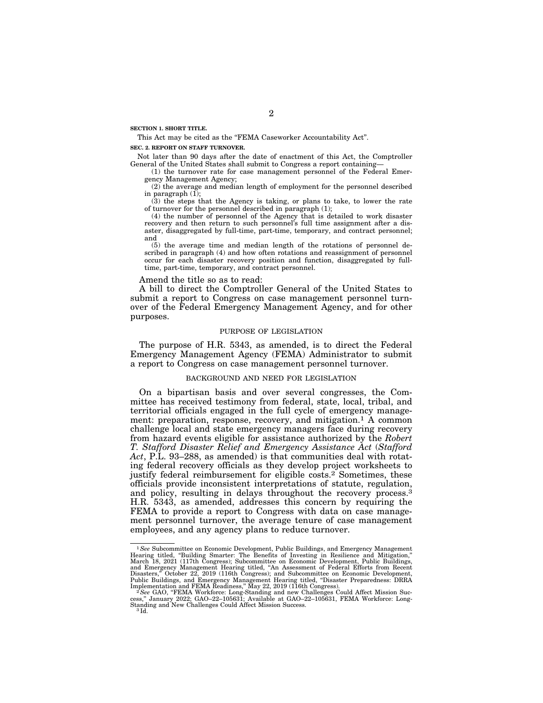**SECTION 1. SHORT TITLE.** 

This Act may be cited as the "FEMA Caseworker Accountability Act".

#### **SEC. 2. REPORT ON STAFF TURNOVER.**

Not later than 90 days after the date of enactment of this Act, the Comptroller General of the United States shall submit to Congress a report containing—

(1) the turnover rate for case management personnel of the Federal Emergency Management Agency;

(2) the average and median length of employment for the personnel described in paragraph  $(1)$ ;

(3) the steps that the Agency is taking, or plans to take, to lower the rate of turnover for the personnel described in paragraph (1);

(4) the number of personnel of the Agency that is detailed to work disaster recovery and then return to such personnel's full time assignment after a disaster, disaggregated by full-time, part-time, temporary, and contract personnel; and

(5) the average time and median length of the rotations of personnel described in paragraph (4) and how often rotations and reassignment of personnel occur for each disaster recovery position and function, disaggregated by fulltime, part-time, temporary, and contract personnel.

Amend the title so as to read:

A bill to direct the Comptroller General of the United States to submit a report to Congress on case management personnel turnover of the Federal Emergency Management Agency, and for other purposes.

#### PURPOSE OF LEGISLATION

The purpose of H.R. 5343, as amended, is to direct the Federal Emergency Management Agency (FEMA) Administrator to submit a report to Congress on case management personnel turnover.

# BACKGROUND AND NEED FOR LEGISLATION

On a bipartisan basis and over several congresses, the Committee has received testimony from federal, state, local, tribal, and territorial officials engaged in the full cycle of emergency management: preparation, response, recovery, and mitigation.<sup>1</sup> A common challenge local and state emergency managers face during recovery from hazard events eligible for assistance authorized by the *Robert T. Stafford Disaster Relief and Emergency Assistance Act* (*Stafford Act*, P.L. 93–288, as amended) is that communities deal with rotating federal recovery officials as they develop project worksheets to justify federal reimbursement for eligible costs.<sup>2</sup> Sometimes, these officials provide inconsistent interpretations of statute, regulation, and policy, resulting in delays throughout the recovery process.3 H.R. 5343, as amended, addresses this concern by requiring the FEMA to provide a report to Congress with data on case management personnel turnover, the average tenure of case management employees, and any agency plans to reduce turnover.

<sup>&</sup>lt;sup>1</sup> See Subcommittee on Economic Development, Public Buildings, and Emergency Management Hearing titled, "Building Smarter: The Benefits of Investing in Resilience and Mitigation," March 18, 2021 (117th Congress); Subcommittee on Economic Development, Public Buildings,<br>and Emergency Management Hearing titled, "An Assessment of Federal Efforts from Recent<br>Disasters," October 22, 2019 (116th Congress); Public Buildings, and Emergency Management Hearing titled, "Disaster Preparedness: DRRA<br>Implementation and FEMA Readiness," May 22, 2019 (116th Congress).<br><sup>2</sup> See GAO, "FEMA Workforce: Long-Standing and new Challenges Coul

cess," January 2022; GAO–22–105631; Available at GAO–22–105631, FEMA Workforce: Long-<br>Standing and New Challenges Could Affect Mission Success.<br><sup>3 Id.</sup>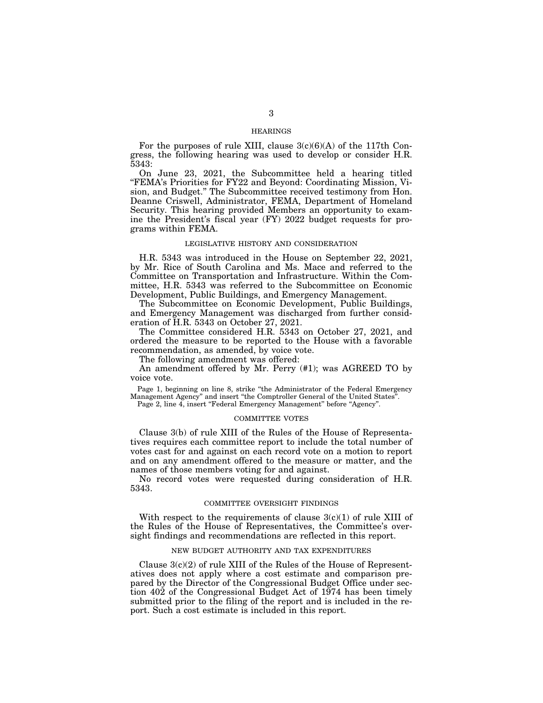# HEARINGS

For the purposes of rule XIII, clause  $3(c)(6)(A)$  of the 117th Congress, the following hearing was used to develop or consider H.R. 5343:

On June 23, 2021, the Subcommittee held a hearing titled ''FEMA's Priorities for FY22 and Beyond: Coordinating Mission, Vision, and Budget.'' The Subcommittee received testimony from Hon. Deanne Criswell, Administrator, FEMA, Department of Homeland Security. This hearing provided Members an opportunity to examine the President's fiscal year (FY) 2022 budget requests for programs within FEMA.

#### LEGISLATIVE HISTORY AND CONSIDERATION

H.R. 5343 was introduced in the House on September 22, 2021, by Mr. Rice of South Carolina and Ms. Mace and referred to the Committee on Transportation and Infrastructure. Within the Committee, H.R. 5343 was referred to the Subcommittee on Economic Development, Public Buildings, and Emergency Management.

The Subcommittee on Economic Development, Public Buildings, and Emergency Management was discharged from further consideration of H.R. 5343 on October 27, 2021.

The Committee considered H.R. 5343 on October 27, 2021, and ordered the measure to be reported to the House with a favorable recommendation, as amended, by voice vote.

The following amendment was offered:

An amendment offered by Mr. Perry (#1); was AGREED TO by voice vote.

Page 1, beginning on line 8, strike ''the Administrator of the Federal Emergency Management Agency'' and insert ''the Comptroller General of the United States''.

Page 2, line 4, insert "Federal Emergency Management" before "Agency".

#### COMMITTEE VOTES

Clause 3(b) of rule XIII of the Rules of the House of Representatives requires each committee report to include the total number of votes cast for and against on each record vote on a motion to report and on any amendment offered to the measure or matter, and the names of those members voting for and against.

No record votes were requested during consideration of H.R. 5343.

### COMMITTEE OVERSIGHT FINDINGS

With respect to the requirements of clause  $3(c)(1)$  of rule XIII of the Rules of the House of Representatives, the Committee's oversight findings and recommendations are reflected in this report.

# NEW BUDGET AUTHORITY AND TAX EXPENDITURES

Clause  $3(c)(2)$  of rule XIII of the Rules of the House of Representatives does not apply where a cost estimate and comparison prepared by the Director of the Congressional Budget Office under section 402 of the Congressional Budget Act of 1974 has been timely submitted prior to the filing of the report and is included in the report. Such a cost estimate is included in this report.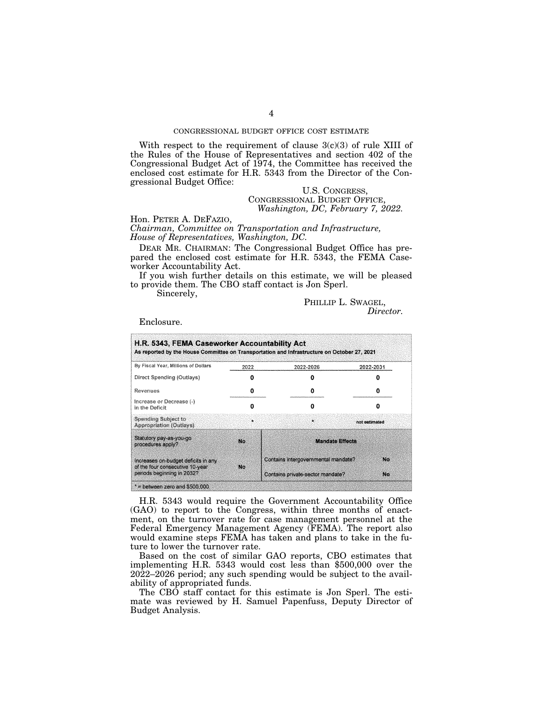# CONGRESSIONAL BUDGET OFFICE COST ESTIMATE

With respect to the requirement of clause  $3(c)(3)$  of rule XIII of the Rules of the House of Representatives and section 402 of the Congressional Budget Act of 1974, the Committee has received the enclosed cost estimate for H.R. 5343 from the Director of the Congressional Budget Office:

# U.S. CONGRESS, CONGRESSIONAL BUDGET OFFICE, *Washington, DC, February 7, 2022.*

Hon. PETER A. DEFAZIO,

*Chairman, Committee on Transportation and Infrastructure, House of Representatives, Washington, DC.* 

DEAR MR. CHAIRMAN: The Congressional Budget Office has prepared the enclosed cost estimate for H.R. 5343, the FEMA Caseworker Accountability Act.

If you wish further details on this estimate, we will be pleased to provide them. The CBO staff contact is Jon Sperl.

Sincerely,

PHILLIP L. SWAGEL, *Director.* 

Enclosure.

| By Fiscal Year, Millions of Dollars                                                                  | 2022<br>2022-2026 |                                     | 2022-2031     |
|------------------------------------------------------------------------------------------------------|-------------------|-------------------------------------|---------------|
| Direct Spending (Outlays)                                                                            |                   |                                     |               |
| Revenues                                                                                             |                   |                                     | 0             |
| Increase or Decrease (-)<br>in the Deficit                                                           |                   |                                     | n             |
| <b>Spending Subject to</b><br>Appropriation (Outlays).                                               | $\bullet$         | $\mathbf{r}$                        | not estimated |
| Statutory pay-as-you-go<br>procedures apply?                                                         | No.               | <b>Mandate Effects</b>              |               |
| Increases on-budget deficits in any<br>of the four consecutive 10-year<br>periods beginning in 2032? | Nα                | Contains intergovernmental mandate? | No.           |
|                                                                                                      |                   | Contains private-sector mandate?    | No.           |

H.R. 5343 would require the Government Accountability Office (GAO) to report to the Congress, within three months of enactment, on the turnover rate for case management personnel at the Federal Emergency Management Agency (FEMA). The report also would examine steps FEMA has taken and plans to take in the future to lower the turnover rate.

Based on the cost of similar GAO reports, CBO estimates that implementing H.R. 5343 would cost less than \$500,000 over the 2022–2026 period; any such spending would be subject to the availability of appropriated funds.

The CBO staff contact for this estimate is Jon Sperl. The estimate was reviewed by H. Samuel Papenfuss, Deputy Director of Budget Analysis.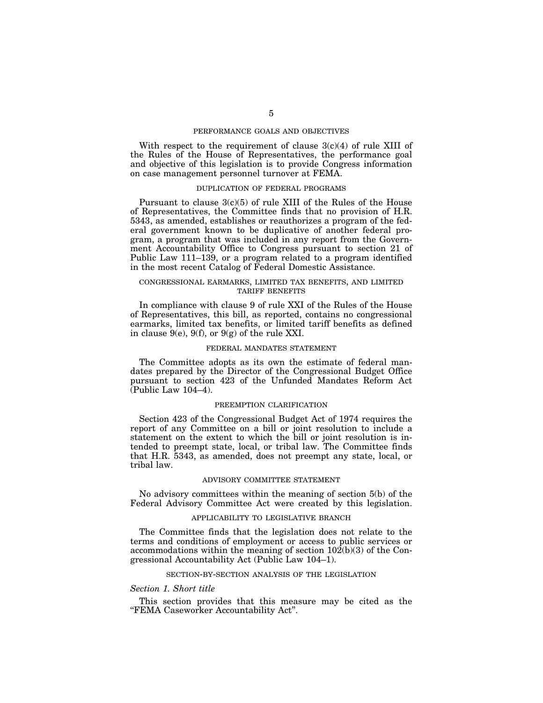## PERFORMANCE GOALS AND OBJECTIVES

With respect to the requirement of clause  $3(c)(4)$  of rule XIII of the Rules of the House of Representatives, the performance goal and objective of this legislation is to provide Congress information on case management personnel turnover at FEMA.

## DUPLICATION OF FEDERAL PROGRAMS

Pursuant to clause  $3(c)(5)$  of rule XIII of the Rules of the House of Representatives, the Committee finds that no provision of H.R. 5343, as amended, establishes or reauthorizes a program of the federal government known to be duplicative of another federal program, a program that was included in any report from the Government Accountability Office to Congress pursuant to section 21 of Public Law 111–139, or a program related to a program identified in the most recent Catalog of Federal Domestic Assistance.

#### CONGRESSIONAL EARMARKS, LIMITED TAX BENEFITS, AND LIMITED TARIFF BENEFITS

In compliance with clause 9 of rule XXI of the Rules of the House of Representatives, this bill, as reported, contains no congressional earmarks, limited tax benefits, or limited tariff benefits as defined in clause 9(e), 9(f), or 9(g) of the rule XXI.

# FEDERAL MANDATES STATEMENT

The Committee adopts as its own the estimate of federal mandates prepared by the Director of the Congressional Budget Office pursuant to section 423 of the Unfunded Mandates Reform Act (Public Law 104–4).

#### PREEMPTION CLARIFICATION

Section 423 of the Congressional Budget Act of 1974 requires the report of any Committee on a bill or joint resolution to include a statement on the extent to which the bill or joint resolution is intended to preempt state, local, or tribal law. The Committee finds that H.R. 5343, as amended, does not preempt any state, local, or tribal law.

#### ADVISORY COMMITTEE STATEMENT

No advisory committees within the meaning of section 5(b) of the Federal Advisory Committee Act were created by this legislation.

## APPLICABILITY TO LEGISLATIVE BRANCH

The Committee finds that the legislation does not relate to the terms and conditions of employment or access to public services or accommodations within the meaning of section  $10\overline{2(b)}(3)$  of the Congressional Accountability Act (Public Law 104–1).

#### SECTION-BY-SECTION ANALYSIS OF THE LEGISLATION

#### *Section 1. Short title*

This section provides that this measure may be cited as the ''FEMA Caseworker Accountability Act''.